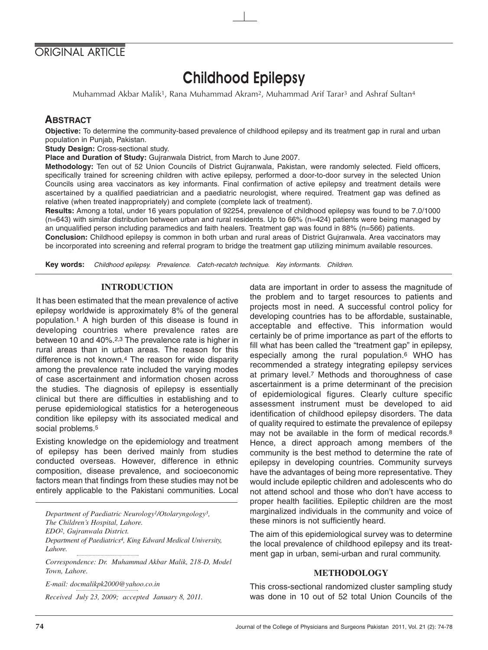# ORIGINAL ARTICLE

# Childhood Epilepsy

Muhammad Akbar Malik1, Rana Muhammad Akram2, Muhammad Arif Tarar3 and Ashraf Sultan4

## **ABSTRACT**

**Objective:** To determine the community-based prevalence of childhood epilepsy and its treatment gap in rural and urban population in Punjab, Pakistan.

**Study Design:** Cross-sectional study.

**Place and Duration of Study:** Gujranwala District, from March to June 2007.

**Methodology:** Ten out of 52 Union Councils of District Gujranwala, Pakistan, were randomly selected. Field officers, specifically trained for screening children with active epilepsy, performed a door-to-door survey in the selected Union Councils using area vaccinators as key informants. Final confirmation of active epilepsy and treatment details were ascertained by a qualified paediatrician and a paediatric neurologist, where required. Treatment gap was defined as relative (when treated inappropriately) and complete (complete lack of treatment).

**Results:** Among a total, under 16 years population of 92254, prevalence of childhood epilepsy was found to be 7.0/1000 (n=643) with similar distribution between urban and rural residents. Up to 66% (n=424) patients were being managed by an unqualified person including paramedics and faith healers. Treatment gap was found in 88% (n=566) patients.

**Conclusion:** Childhood epilepsy is common in both urban and rural areas of District Gujranwala. Area vaccinators may be incorporated into screening and referral program to bridge the treatment gap utilizing minimum available resources.

**Key words:** Childhood epilepsy. Prevalence. Catch-recatch technique. Key informants. Children.

#### **INTRODUCTION**

It has been estimated that the mean prevalence of active epilepsy worldwide is approximately 8% of the general population.1 A high burden of this disease is found in developing countries where prevalence rates are between 10 and 40%.2,3 The prevalence rate is higher in rural areas than in urban areas. The reason for this difference is not known.4 The reason for wide disparity among the prevalence rate included the varying modes of case ascertainment and information chosen across the studies. The diagnosis of epilepsy is essentially clinical but there are difficulties in establishing and to peruse epidemiological statistics for a heterogeneous condition like epilepsy with its associated medical and social problems.<sup>5</sup>

Existing knowledge on the epidemiology and treatment of epilepsy has been derived mainly from studies conducted overseas. However, difference in ethnic composition, disease prevalence, and socioeconomic factors mean that findings from these studies may not be entirely applicable to the Pakistani communities. Local

*Department of Paediatric Neurology1/Otolaryngology3, The Children's Hospital, Lahore. EDO2, Gujranwala District. Department of Paediatrics4, King Edward Medical University, Lahore.*

*Correspondence: Dr. Muhammad Akbar Malik, 218-D, Model Town, Lahore.*

*E-mail: docmalikpk2000@yahoo.co.in*

*Received July 23, 2009; accepted January 8, 2011.*

data are important in order to assess the magnitude of the problem and to target resources to patients and projects most in need. A successful control policy for developing countries has to be affordable, sustainable, acceptable and effective. This information would certainly be of prime importance as part of the efforts to fill what has been called the "treatment gap" in epilepsy, especially among the rural population.6 WHO has recommended a strategy integrating epilepsy services at primary level.7 Methods and thoroughness of case ascertainment is a prime determinant of the precision of epidemiological figures. Clearly culture specific assessment instrument must be developed to aid identification of childhood epilepsy disorders. The data of quality required to estimate the prevalence of epilepsy may not be available in the form of medical records.8 Hence, a direct approach among members of the community is the best method to determine the rate of epilepsy in developing countries. Community surveys have the advantages of being more representative. They would include epileptic children and adolescents who do not attend school and those who don't have access to proper health facilities. Epileptic children are the most marginalized individuals in the community and voice of these minors is not sufficiently heard.

The aim of this epidemiological survey was to determine the local prevalence of childhood epilepsy and its treatment gap in urban, semi-urban and rural community.

#### **METHODOLOGY**

This cross-sectional randomized cluster sampling study was done in 10 out of 52 total Union Councils of the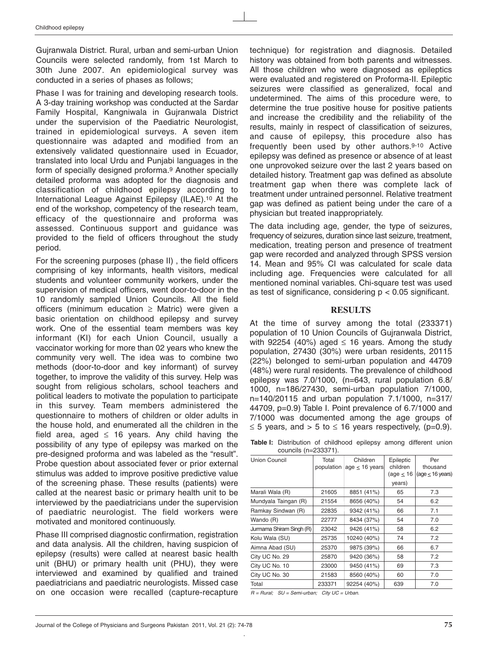Gujranwala District. Rural, urban and semi-urban Union Councils were selected randomly, from 1st March to 30th June 2007. An epidemiological survey was conducted in a series of phases as follows;

Phase I was for training and developing research tools. A 3-day training workshop was conducted at the Sardar Family Hospital, Kangniwala in Gujranwala District under the supervision of the Paediatric Neurologist, trained in epidemiological surveys. A seven item questionnaire was adapted and modified from an extensively validated questionnaire used in Ecuador, translated into local Urdu and Punjabi languages in the form of specially designed proforma.9 Another specially detailed proforma was adopted for the diagnosis and classification of childhood epilepsy according to International League Against Epilepsy (ILAE).10 At the end of the workshop, competency of the research team, efficacy of the questionnaire and proforma was assessed. Continuous support and guidance was provided to the field of officers throughout the study period.

For the screening purposes (phase II) , the field officers comprising of key informants, health visitors, medical students and volunteer community workers, under the supervision of medical officers, went door-to-door in the 10 randomly sampled Union Councils. All the field officers (minimum education  $\geq$  Matric) were given a basic orientation on childhood epilepsy and survey work. One of the essential team members was key informant (KI) for each Union Council, usually a vaccinator working for more than 02 years who knew the community very well. The idea was to combine two methods (door-to-door and key informant) of survey together, to improve the validity of this survey. Help was sought from religious scholars, school teachers and political leaders to motivate the population to participate in this survey. Team members administered the questionnaire to mothers of children or older adults in the house hold, and enumerated all the children in the field area, aged  $\leq$  16 years. Any child having the possibility of any type of epilepsy was marked on the pre-designed proforma and was labeled as the "result". Probe question about associated fever or prior external stimulus was added to improve positive predictive value of the screening phase. These results (patients) were called at the nearest basic or primary health unit to be interviewed by the paediatricians under the supervision of paediatric neurologist. The field workers were motivated and monitored continuously.

Phase III comprised diagnostic confirmation, registration and data analysis. All the children, having suspicion of epilepsy (results) were called at nearest basic health unit (BHU) or primary health unit (PHU), they were interviewed and examined by qualified and trained paediatricians and paediatric neurologists. Missed case on one occasion were recalled (capture-recapture technique) for registration and diagnosis. Detailed history was obtained from both parents and witnesses. All those children who were diagnosed as epileptics were evaluated and registered on Proforma-II. Epileptic seizures were classified as generalized, focal and undetermined. The aims of this procedure were, to determine the true positive house for positive patients and increase the credibility and the reliability of the results, mainly in respect of classification of seizures, and cause of epilepsy, this procedure also has frequently been used by other authors.9-10 Active epilepsy was defined as presence or absence of at least one unprovoked seizure over the last 2 years based on detailed history. Treatment gap was defined as absolute treatment gap when there was complete lack of treatment under untrained personnel. Relative treatment gap was defined as patient being under the care of a physician but treated inappropriately.

The data including age, gender, the type of seizures, frequency of seizures, duration since last seizure, treatment, medication, treating person and presence of treatment gap were recorded and analyzed through SPSS version 14. Mean and 95% CI was calculated for scale data including age. Frequencies were calculated for all mentioned nominal variables. Chi-square test was used as test of significance, considering  $p < 0.05$  significant.

#### **RESULTS**

At the time of survey among the total (233371) population of 10 Union Councils of Gujranwala District, with 92254 (40%) aged  $\leq$  16 years. Among the study population, 27430 (30%) were urban residents, 20115 (22%) belonged to semi-urban population and 44709 (48%) were rural residents. The prevalence of childhood epilepsy was 7.0/1000, (n=643, rural population 6.8/ 1000, n=186/27430, semi-urban population 7/1000, n=140/20115 and urban population 7.1/1000, n=317/ 44709, p=0.9) Table I. Point prevalence of 6.7/1000 and 7/1000 was documented among the age groups of ≤ 5 years, and > 5 to  $≤$  16 years respectively, (p=0.9).

**Table I:** Distribution of childhood epilepsy among different union councils (n=233371).

| Union Council            | Total<br>population | Children<br>age $\leq$ 16 years | Epileptic<br>children<br>(age $\leq$ 16 | Per<br>thousand<br>$(\text{age} \leq 16 \text{ years})$ |
|--------------------------|---------------------|---------------------------------|-----------------------------------------|---------------------------------------------------------|
|                          |                     |                                 | years)                                  |                                                         |
| Marali Wala (R)          | 21605               | 8851 (41%)                      | 65                                      | 7.3                                                     |
| Mundyala Taingan (R)     | 21554               | 8656 (40%)                      | 54                                      | 6.2                                                     |
| Ramkay Sindwan (R)       | 22835               | 9342 (41%)                      | 66                                      | 7.1                                                     |
| Wando (R)                | 22777               | 8434 (37%)                      | 54                                      | 7.0                                                     |
| Jurmama Shiram Singh (R) | 23042               | 9426 (41%)                      | 58                                      | 6.2                                                     |
| Kolu Wala (SU)           | 25735               | 10240 (40%)                     | 74                                      | 7.2                                                     |
| Aimna Abad (SU)          | 25370               | 9875 (39%)                      | 66                                      | 6.7                                                     |
| City UC No. 29           | 25870               | 9420 (36%)                      | 58                                      | 7.2                                                     |
| City UC No. 10           | 23000               | 9450 (41%)                      | 69                                      | 7.3                                                     |
| City UC No. 30           | 21583               | 8560 (40%)                      | 60                                      | 7.0                                                     |
| Total                    | 233371              | 92254 (40%)                     | 639                                     | 7.0                                                     |
|                          |                     |                                 |                                         |                                                         |

 $R =$  Rural;  $SU =$  Semi-urban; City UC = Urban.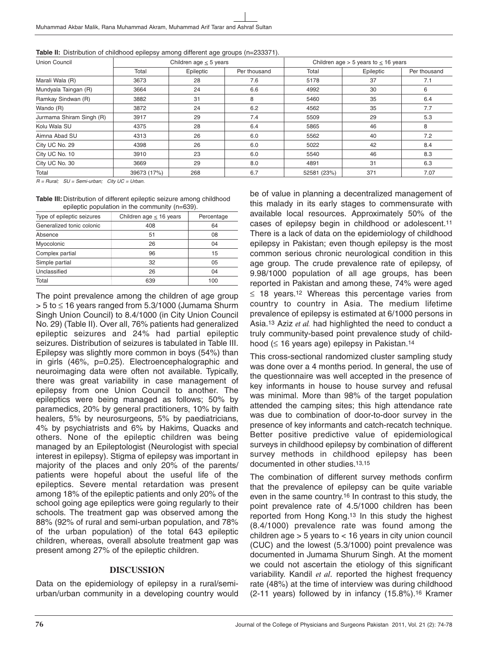| Union Council            |             | Children age $\leq$ 5 years |              |             | Children age $>$ 5 years to $\leq$ 16 years |              |
|--------------------------|-------------|-----------------------------|--------------|-------------|---------------------------------------------|--------------|
|                          | Total       | Epileptic                   | Per thousand | Total       | Epileptic                                   | Per thousand |
| Marali Wala (R)          | 3673        | 28                          | 7.6          | 5178        | 37                                          | 7.1          |
| Mundyala Taingan (R)     | 3664        | 24                          | 6.6          | 4992        | 30                                          | 6            |
| Ramkay Sindwan (R)       | 3882        | 31                          | 8            | 5460        | 35                                          | 6.4          |
| Wando (R)                | 3872        | 24                          | 6.2          | 4562        | 35                                          | 7.7          |
| Jurmama Shiram Singh (R) | 3917        | 29                          | 7.4          | 5509        | 29                                          | 5.3          |
| Kolu Wala SU             | 4375        | 28                          | 6.4          | 5865        | 46                                          | 8            |
| Aimna Abad SU            | 4313        | 26                          | 6.0          | 5562        | 40                                          | 7.2          |
| City UC No. 29           | 4398        | 26                          | 6.0          | 5022        | 42                                          | 8.4          |
| City UC No. 10           | 3910        | 23                          | 6.0          | 5540        | 46                                          | 8.3          |
| City UC No. 30           | 3669        | 29                          | 8.0          | 4891        | 31                                          | 6.3          |
| Total                    | 39673 (17%) | 268                         | 6.7          | 52581 (23%) | 371                                         | 7.07         |

 $R = Rural$ ;  $SU = Semi-urban$ ; City UC = Urban.

**Table III:** Distribution of different epileptic seizure among childhood epileptic population in the community (n=639).

| Type of epileptic seizures | Children age $\leq$ 16 years | Percentage |  |
|----------------------------|------------------------------|------------|--|
| Generalized tonic colonic  | 408                          | 64         |  |
| Absence                    | 51                           | 08         |  |
| Myocolonic                 | 26                           | 04         |  |
| Complex partial            | 96                           | 15         |  |
| Simple partial             | 32                           | 05         |  |
| Unclassified               | 26                           | 04         |  |
| Total                      | 639                          | 100        |  |

The point prevalence among the children of age group  $> 5$  to  $\leq 16$  years ranged from 5.3/1000 (Jumama Shurm Singh Union Council) to 8.4/1000 (in City Union Council No. 29) (Table II). Over all, 76% patients had generalized epileptic seizures and 24% had partial epileptic seizures. Distribution of seizures is tabulated in Table III. Epilepsy was slightly more common in boys (54%) than in girls (46%, p=0.25). Electroencephalographic and neuroimaging data were often not available. Typically, there was great variability in case management of epilepsy from one Union Council to another. The epileptics were being managed as follows; 50% by paramedics, 20% by general practitioners, 10% by faith healers, 5% by neurosurgeons, 5% by paediatricians, 4% by psychiatrists and 6% by Hakims, Quacks and others. None of the epileptic children was being managed by an Epileptologist (Neurologist with special interest in epilepsy). Stigma of epilepsy was important in majority of the places and only 20% of the parents/ patients were hopeful about the useful life of the epileptics. Severe mental retardation was present among 18% of the epileptic patients and only 20% of the school going age epileptics were going regularly to their schools. The treatment gap was observed among the 88% (92% of rural and semi-urban population, and 78% of the urban population) of the total 643 epileptic children, whereas, overall absolute treatment gap was present among 27% of the epileptic children.

## **DISCUSSION**

Data on the epidemiology of epilepsy in a rural/semiurban/urban community in a developing country would be of value in planning a decentralized management of this malady in its early stages to commensurate with available local resources. Approximately 50% of the cases of epilepsy begin in childhood or adolescent.11 There is a lack of data on the epidemiology of childhood epilepsy in Pakistan; even though epilepsy is the most common serious chronic neurological condition in this age group. The crude prevalence rate of epilepsy, of 9.98/1000 population of all age groups, has been reported in Pakistan and among these, 74% were aged ≤ 18 years.12 Whereas this percentage varies from country to country in Asia. The medium lifetime prevalence of epilepsy is estimated at 6/1000 persons in Asia.13 Aziz *et al.* had highlighted the need to conduct a truly community-based point prevalence study of childhood (≤ 16 years age) epilepsy in Pakistan.14

This cross-sectional randomized cluster sampling study was done over a 4 months period. In general, the use of the questionnaire was well accepted in the presence of key informants in house to house survey and refusal was minimal. More than 98% of the target population attended the camping sites; this high attendance rate was due to combination of door-to-door survey in the presence of key informants and catch-recatch technique. Better positive predictive value of epidemiological surveys in childhood epilepsy by combination of different survey methods in childhood epilepsy has been documented in other studies.13,15

The combination of different survey methods confirm that the prevalence of epilepsy can be quite variable even in the same country.16 In contrast to this study, the point prevalence rate of 4.5/1000 children has been reported from Hong Kong.13 In this study the highest (8.4/1000) prevalence rate was found among the children age > 5 years to < 16 years in city union council (CUC) and the lowest (5.3/1000) point prevalence was documented in Jumama Shurum Singh. At the moment we could not ascertain the etiology of this significant variability. Kandil *et al*. reported the highest frequency rate (48%) at the time of interview was during childhood (2-11 years) followed by in infancy (15.8%).16 Kramer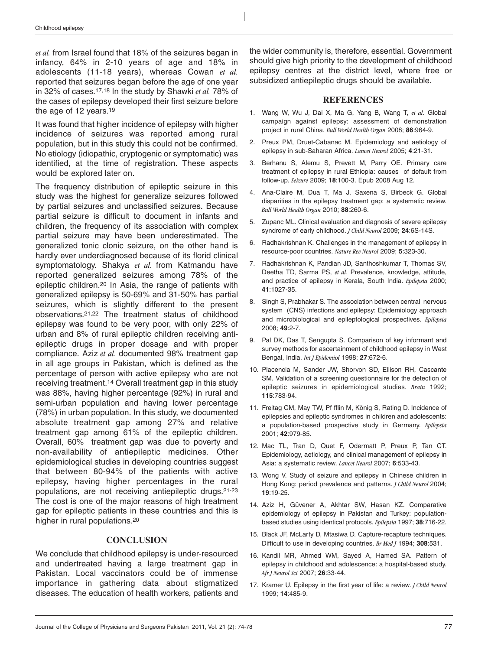*et al.* from Israel found that 18% of the seizures began in infancy, 64% in 2-10 years of age and 18% in adolescents (11-18 years), whereas Cowan *et al.* reported that seizures began before the age of one year in 32% of cases.17,18 In the study by Shawki *et al.* 78% of the cases of epilepsy developed their first seizure before the age of 12 years.19

It was found that higher incidence of epilepsy with higher incidence of seizures was reported among rural population, but in this study this could not be confirmed. No etiology (idiopathic, cryptogenic or symptomatic) was identified, at the time of registration. These aspects would be explored later on.

The frequency distribution of epileptic seizure in this study was the highest for generalize seizures followed by partial seizures and unclassified seizures. Because partial seizure is difficult to document in infants and children, the frequency of its association with complex partial seizure may have been underestimated. The generalized tonic clonic seizure, on the other hand is hardly ever underdiagnosed because of its florid clinical symptomatology. Shakya *et al.* from Katmandu have reported generalized seizures among 78% of the epileptic children.20 In Asia, the range of patients with generalized epilepsy is 50-69% and 31-50% has partial seizures, which is slightly different to the present observations.21,22 The treatment status of childhood epilepsy was found to be very poor, with only 22% of urban and 8% of rural epileptic children receiving antiepileptic drugs in proper dosage and with proper compliance. Aziz *et al.* documented 98% treatment gap in all age groups in Pakistan, which is defined as the percentage of person with active epilepsy who are not receiving treatment.14 Overall treatment gap in this study was 88%, having higher percentage (92%) in rural and semi-urban population and having lower percentage (78%) in urban population. In this study, we documented absolute treatment gap among 27% and relative treatment gap among 61% of the epileptic children. Overall, 60% treatment gap was due to poverty and non-availability of antiepileptic medicines. Other epidemiological studies in developing countries suggest that between 80-94% of the patients with active epilepsy, having higher percentages in the rural populations, are not receiving antiepileptic drugs.21-23 The cost is one of the major reasons of high treatment gap for epileptic patients in these countries and this is higher in rural populations.20

#### **CONCLUSION**

We conclude that childhood epilepsy is under-resourced and undertreated having a large treatment gap in Pakistan. Local vaccinators could be of immense importance in gathering data about stigmatized diseases. The education of health workers, patients and the wider community is, therefore, essential. Government should give high priority to the development of childhood epilepsy centres at the district level, where free or subsidized antiepileptic drugs should be available.

#### **REFERENCES**

- 1. Wang W, Wu J, Dai X, Ma G, Yang B, Wang T, *et al*. Global campaign against epilepsy: assessment of demonstration project in rural China. *Bull World Health Organ* 2008; **86**:964-9.
- 2. Preux PM, Druet-Cabanac M. Epidemiology and aetiology of epilepsy in sub-Saharan Africa. *Lancet Neurol* 2005; **4**:21-31.
- 3. Berhanu S, Alemu S, Prevett M, Parry OE. Primary care treatment of epilepsy in rural Ethiopia: causes of default from follow-up. *Seizure* 2009; **18**:100-3. Epub 2008 Aug 12.
- 4. Ana-Claire M, Dua T, Ma J, Saxena S, Birbeck G. Global disparities in the epilepsy treatment gap: a systematic review. *Bull World Health Organ* 2010; **88**:260-6.
- 5. Zupanc ML. Clinical evaluation and diagnosis of severe epilepsy syndrome of early childhood. *J Child Neurol* 2009; **24**:6S-14S.
- 6. Radhakrishnan K. Challenges in the management of epilepsy in resource-poor countries. *Nature Rev Neurol* 2009; **5**:323-30.
- 7. Radhakrishnan K, Pandian JD, Santhoshkumar T, Thomas SV, Deetha TD, Sarma PS, *et al.* Prevalence, knowledge, attitude, and practice of epilepsy in Kerala, South India. *Epilepsia* 2000; **41**:1027-35.
- 8. Singh S, Prabhakar S. The association between central nervous system (CNS) infections and epilepsy: Epidemiology approach and microbiological and epileptological prospectives. *Epilepsia* 2008; **49**:2-7.
- 9. Pal DK, Das T, Sengupta S. Comparison of key informant and survey methods for ascertainment of childhood epilepsy in West Bengal, India. *Int J Epidemiol* 1998; **27**:672-6.
- 10. Placencia M, Sander JW, Shorvon SD, Ellison RH, Cascante SM. Validation of a screening questionnaire for the detection of epileptic seizures in epidemiological studies. *Brain* 1992; **115**:783-94.
- 11. Freitag CM, May TW, Pf fflin M, König S, Rating D. Incidence of epilepsies and epileptic syndromes in children and adolescents: a population-based prospective study in Germany. *Epilepsia* 2001; **42**:979-85.
- 12. Mac TL, Tran D, Quet F, Odermatt P, Preux P, Tan CT. Epidemiology, aetiology, and clinical management of epilepsy in Asia: a systematic review. *Lancet Neurol* 2007; **6**:533-43.
- 13. Wong V. Study of seizure and epilepsy in Chinese children in Hong Kong: period prevalence and patterns. *J Child Neurol* 2004; **19**:19-25.
- 14. Aziz H, Güvener A, Akhtar SW, Hasan KZ. Comparative epidemiology of epilepsy in Pakistan and Turkey: populationbased studies using identical protocols. *Epilepsia* 1997; **38**:716-22.
- 15. Black JF, McLarty D, Mtasiwa D. Capture-recapture techniques. Difficult to use in developing countries. *Br Med J* 1994; **308**:531.
- 16. Kandil MR, Ahmed WM, Sayed A, Hamed SA. Pattern of epilepsy in childhood and adolescence: a hospital-based study. *Afr J Neurol Sci* 2007; **26**:33-44.
- 17. Kramer U. Epilepsy in the first year of life: a review. *J Child Neurol* 1999; **14**:485-9.